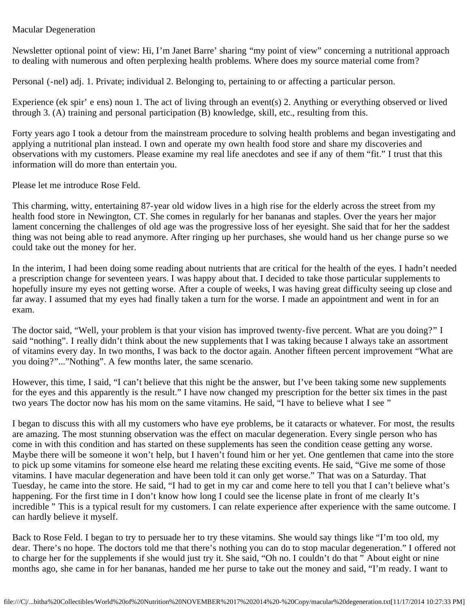## Macular Degeneration

Newsletter optional point of view: Hi, I'm Janet Barre' sharing "my point of view" concerning a nutritional approach to dealing with numerous and often perplexing health problems. Where does my source material come from?

Personal (-nel) adj. 1. Private; individual 2. Belonging to, pertaining to or affecting a particular person.

Experience (ek spir' e ens) noun 1. The act of living through an event(s) 2. Anything or everything observed or lived through 3. (A) training and personal participation (B) knowledge, skill, etc., resulting from this.

Forty years ago I took a detour from the mainstream procedure to solving health problems and began investigating and applying a nutritional plan instead. I own and operate my own health food store and share my discoveries and observations with my customers. Please examine my real life anecdotes and see if any of them "fit." I trust that this information will do more than entertain you.

Please let me introduce Rose Feld.

This charming, witty, entertaining 87-year old widow lives in a high rise for the elderly across the street from my health food store in Newington, CT. She comes in regularly for her bananas and staples. Over the years her major lament concerning the challenges of old age was the progressive loss of her eyesight. She said that for her the saddest thing was not being able to read anymore. After ringing up her purchases, she would hand us her change purse so we could take out the money for her.

In the interim, I had been doing some reading about nutrients that are critical for the health of the eyes. I hadn't needed a prescription change for seventeen years. I was happy about that. I decided to take those particular supplements to hopefully insure my eyes not getting worse. After a couple of weeks, I was having great difficulty seeing up close and far away. I assumed that my eyes had finally taken a turn for the worse. I made an appointment and went in for an exam.

The doctor said, "Well, your problem is that your vision has improved twenty-five percent. What are you doing?" I said "nothing". I really didn't think about the new supplements that I was taking because I always take an assortment of vitamins every day. In two months, I was back to the doctor again. Another fifteen percent improvement "What are you doing?"..."Nothing". A few months later, the same scenario.

However, this time, I said, "I can't believe that this night be the answer, but I've been taking some new supplements for the eyes and this apparently is the result." I have now changed my prescription for the better six times in the past two years The doctor now has his mom on the same vitamins. He said, "I have to believe what I see "

I began to discuss this with all my customers who have eye problems, be it cataracts or whatever. For most, the results are amazing. The most stunning observation was the effect on macular degeneration. Every single person who has come in with this condition and has started on these supplements has seen the condition cease getting any worse. Maybe there will be someone it won't help, but I haven't found him or her yet. One gentlemen that came into the store to pick up some vitamins for someone else heard me relating these exciting events. He said, "Give me some of those vitamins. I have macular degeneration and have been told it can only get worse." That was on a Saturday. That Tuesday, he came into the store. He said, "I had to get in my car and come here to tell you that I can't believe what's happening. For the first time in I don't know how long I could see the license plate in front of me clearly It's incredible " This is a typical result for my customers. I can relate experience after experience with the same outcome. I can hardly believe it myself.

Back to Rose Feld. I began to try to persuade her to try these vitamins. She would say things like "I'm too old, my dear. There's no hope. The doctors told me that there's nothing you can do to stop macular degeneration." I offered not to charge her for the supplements if she would just try it. She said, "Oh no. I couldn't do that " About eight or nine months ago, she came in for her bananas, handed me her purse to take out the money and said, "I'm ready. I want to